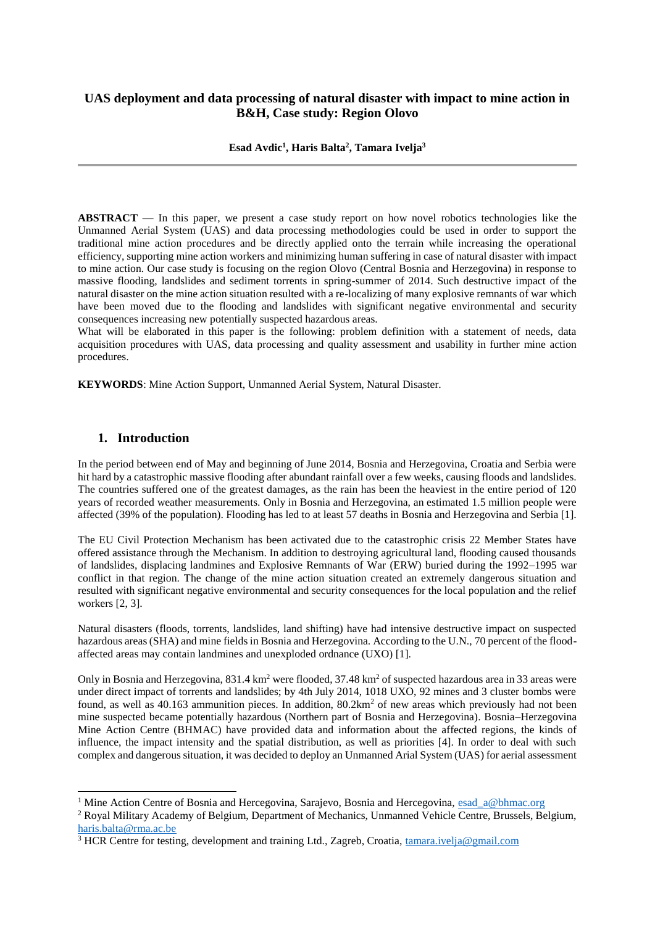# **UAS deployment and data processing of natural disaster with impact to mine action in B&H, Case study: Region Olovo**

**Esad Avdic<sup>1</sup> , Haris Balta<sup>2</sup> , Tamara Ivelja<sup>3</sup>**

**ABSTRACT** — In this paper, we present a case study report on how novel robotics technologies like the Unmanned Aerial System (UAS) and data processing methodologies could be used in order to support the traditional mine action procedures and be directly applied onto the terrain while increasing the operational efficiency, supporting mine action workers and minimizing human suffering in case of natural disaster with impact to mine action. Our case study is focusing on the region Olovo (Central Bosnia and Herzegovina) in response to massive flooding, landslides and sediment torrents in spring-summer of 2014. Such destructive impact of the natural disaster on the mine action situation resulted with a re-localizing of many explosive remnants of war which have been moved due to the flooding and landslides with significant negative environmental and security consequences increasing new potentially suspected hazardous areas.

What will be elaborated in this paper is the following: problem definition with a statement of needs, data acquisition procedures with UAS, data processing and quality assessment and usability in further mine action procedures.

**KEYWORDS**: Mine Action Support, Unmanned Aerial System, Natural Disaster.

#### **1. Introduction**

 $\overline{a}$ 

In the period between end of May and beginning of June 2014, Bosnia and Herzegovina, Croatia and Serbia were hit hard by a catastrophic massive flooding after abundant rainfall over a few weeks, causing floods and landslides. The countries suffered one of the greatest damages, as the rain has been the heaviest in the entire period of 120 years of recorded weather measurements. Only in Bosnia and Herzegovina, an estimated 1.5 million people were affected (39% of the population). Flooding has led to at least 57 deaths in Bosnia and Herzegovina and Serbia [1].

The EU Civil Protection Mechanism has been activated due to the catastrophic crisis 22 Member States have offered assistance through the Mechanism. In addition to destroying agricultural land, flooding caused thousands of landslides, displacing landmines and Explosive Remnants of War (ERW) buried during the 1992–1995 war conflict in that region. The change of the mine action situation created an extremely dangerous situation and resulted with significant negative environmental and security consequences for the local population and the relief workers [2, 3].

Natural disasters (floods, torrents, landslides, land shifting) have had intensive destructive impact on suspected hazardous areas (SHA) and mine fields in Bosnia and Herzegovina. According to the U.N., 70 percent of the floodaffected areas may contain landmines and unexploded ordnance (UXO) [1].

Only in Bosnia and Herzegovina, 831.4 km<sup>2</sup> were flooded, 37.48 km<sup>2</sup> of suspected hazardous area in 33 areas were under direct impact of torrents and landslides; by 4th July 2014, 1018 UXO, 92 mines and 3 cluster bombs were found, as well as  $40.163$  ammunition pieces. In addition,  $80.2 \text{km}^2$  of new areas which previously had not been mine suspected became potentially hazardous (Northern part of Bosnia and Herzegovina). Bosnia–Herzegovina Mine Action Centre (BHMAC) have provided data and information about the affected regions, the kinds of influence, the impact intensity and the spatial distribution, as well as priorities [4]. In order to deal with such complex and dangerous situation, it was decided to deploy an Unmanned Arial System (UAS) for aerial assessment

<sup>&</sup>lt;sup>1</sup> Mine Action Centre of Bosnia and Hercegovina, Sarajevo, Bosnia and Hercegovina, [esad\\_a@bhmac.org](mailto:esad_a@bhmac.org)

<sup>2</sup> Royal Military Academy of Belgium, Department of Mechanics, Unmanned Vehicle Centre, Brussels, Belgium, [haris.balta@rma.ac.be](mailto:haris.balta@rma.ac.be)

<sup>&</sup>lt;sup>3</sup> HCR Centre for testing, development and training Ltd., Zagreb, Croatia, [tamara.ivelja@gmail.com](mailto:tamara.ivelja@gmail.com)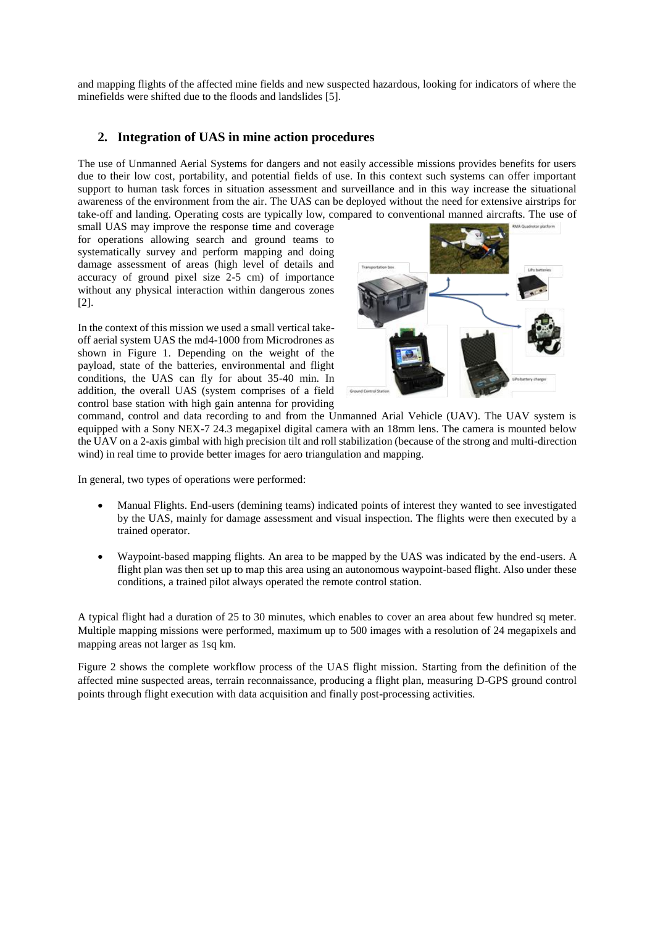and mapping flights of the affected mine fields and new suspected hazardous, looking for indicators of where the minefields were shifted due to the floods and landslides [5].

# **2. Integration of UAS in mine action procedures**

The use of Unmanned Aerial Systems for dangers and not easily accessible missions provides benefits for users due to their low cost, portability, and potential fields of use. In this context such systems can offer important support to human task forces in situation assessment and surveillance and in this way increase the situational awareness of the environment from the air. The UAS can be deployed without the need for extensive airstrips for take-off and landing. Operating costs are typically low, compared to conventional manned aircrafts. The use of

small UAS may improve the response time and coverage for operations allowing search and ground teams to systematically survey and perform mapping and doing damage assessment of areas (high level of details and accuracy of ground pixel size 2-5 cm) of importance without any physical interaction within dangerous zones [2].

In the context of this mission we used a small vertical takeoff aerial system UAS the md4-1000 from Microdrones as shown in Figure 1. Depending on the weight of the payload, state of the batteries, environmental and flight conditions, the UAS can fly for about 35-40 min. In addition, the overall UAS (system comprises of a field control base station with high gain antenna for providing



command, control and data recording to and from the Unmanned Arial Vehicle (UAV). The UAV system is equipped with a Sony NEX-7 24.3 megapixel digital camera with an 18mm lens. The camera is mounted below the UAV on a 2-axis gimbal with high precision tilt and roll stabilization (because of the strong and multi-direction wind) in real time to provide better images for aero triangulation and mapping.

In general, two types of operations were performed:

- Manual Flights. End-users (demining teams) indicated points of interest they wanted to see investigated by the UAS, mainly for damage assessment and visual inspection. The flights were then executed by a trained operator.
- Waypoint-based mapping flights. An area to be mapped by the UAS was indicated by the end-users. A flight plan was then set up to map this area using an autonomous waypoint-based flight. Also under these conditions, a trained pilot always operated the remote control station.

A typical flight had a duration of 25 to 30 minutes, which enables to cover an area about few hundred sq meter. Multiple mapping missions were performed, maximum up to 500 images with a resolution of 24 megapixels and mapping areas not larger as 1sq km.

Figure 2 shows the complete workflow process of the UAS flight mission. Starting from the definition of the affected mine suspected areas, terrain reconnaissance, producing a flight plan, measuring D-GPS ground control points through flight execution with data acquisition and finally post-processing activities.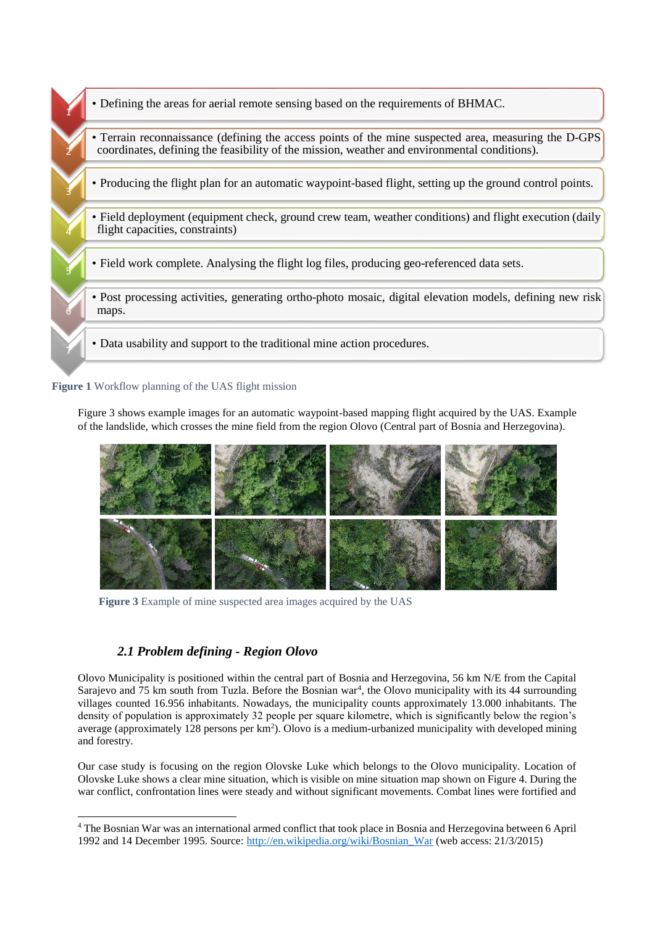

**Figure 1** Workflow planning of the UAS flight mission

Figure 3 shows example images for an automatic waypoint-based mapping flight acquired by the UAS. Example of the landslide, which crosses the mine field from the region Olovo (Central part of Bosnia and Herzegovina).



**Figure 3** Example of mine suspected area images acquired by the UAS

# *2.1 Problem defining - Region Olovo*

-

Olovo Municipality is positioned within the central part of Bosnia and Herzegovina, 56 km N/E from the Capital Sarajevo and 75 km south from Tuzla. Before the Bosnian war<sup>4</sup>, the Olovo municipality with its 44 surrounding villages counted 16.956 inhabitants. Nowadays, the municipality counts approximately 13.000 inhabitants. The density of population is approximately 32 people per square kilometre, which is significantly below the region's average (approximately 128 persons per km<sup>2</sup>). Olovo is a medium-urbanized municipality with developed mining and forestry.

Our case study is focusing on the region Olovske Luke which belongs to the Olovo municipality. Location of Olovske Luke shows a clear mine situation, which is visible on mine situation map shown on Figure 4. During the war conflict, confrontation lines were steady and without significant movements. Combat lines were fortified and

<sup>4</sup> The Bosnian War was an international armed conflict that took place in Bosnia and Herzegovina between 6 April 1992 and 14 December 1995. Source: [http://en.wikipedia.org/wiki/Bosnian\\_War](http://en.wikipedia.org/wiki/Bosnian_War) (web access: 21/3/2015)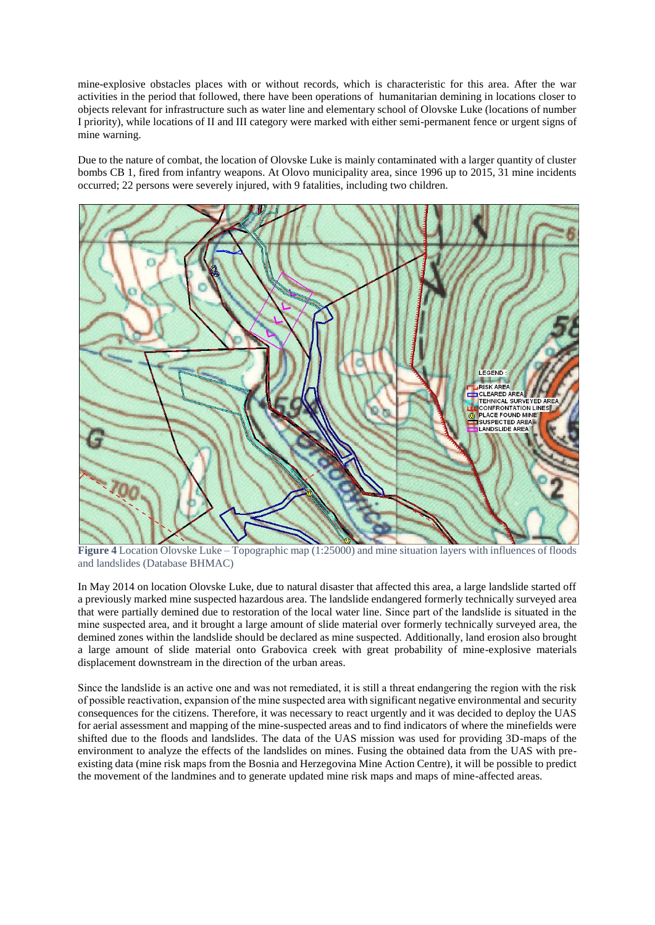mine-explosive obstacles places with or without records, which is characteristic for this area. After the war activities in the period that followed, there have been operations of humanitarian demining in locations closer to objects relevant for infrastructure such as water line and elementary school of Olovske Luke (locations of number I priority), while locations of II and III category were marked with either semi-permanent fence or urgent signs of mine warning.

Due to the nature of combat, the location of Olovske Luke is mainly contaminated with a larger quantity of cluster bombs CB 1, fired from infantry weapons. At Olovo municipality area, since 1996 up to 2015, 31 mine incidents occurred; 22 persons were severely injured, with 9 fatalities, including two children.



**Figure 4** Location Olovske Luke – Topographic map (1:25000) and mine situation layers with influences of floods and landslides (Database BHMAC)

In May 2014 on location Olovske Luke, due to natural disaster that affected this area, a large landslide started off a previously marked mine suspected hazardous area. The landslide endangered formerly technically surveyed area that were partially demined due to restoration of the local water line. Since part of the landslide is situated in the mine suspected area, and it brought a large amount of slide material over formerly technically surveyed area, the demined zones within the landslide should be declared as mine suspected. Additionally, land erosion also brought a large amount of slide material onto Grabovica creek with great probability of mine-explosive materials displacement downstream in the direction of the urban areas.

Since the landslide is an active one and was not remediated, it is still a threat endangering the region with the risk of possible reactivation, expansion of the mine suspected area with significant negative environmental and security consequences for the citizens. Therefore, it was necessary to react urgently and it was decided to deploy the UAS for aerial assessment and mapping of the mine-suspected areas and to find indicators of where the minefields were shifted due to the floods and landslides. The data of the UAS mission was used for providing 3D-maps of the environment to analyze the effects of the landslides on mines. Fusing the obtained data from the UAS with preexisting data (mine risk maps from the Bosnia and Herzegovina Mine Action Centre), it will be possible to predict the movement of the landmines and to generate updated mine risk maps and maps of mine-affected areas.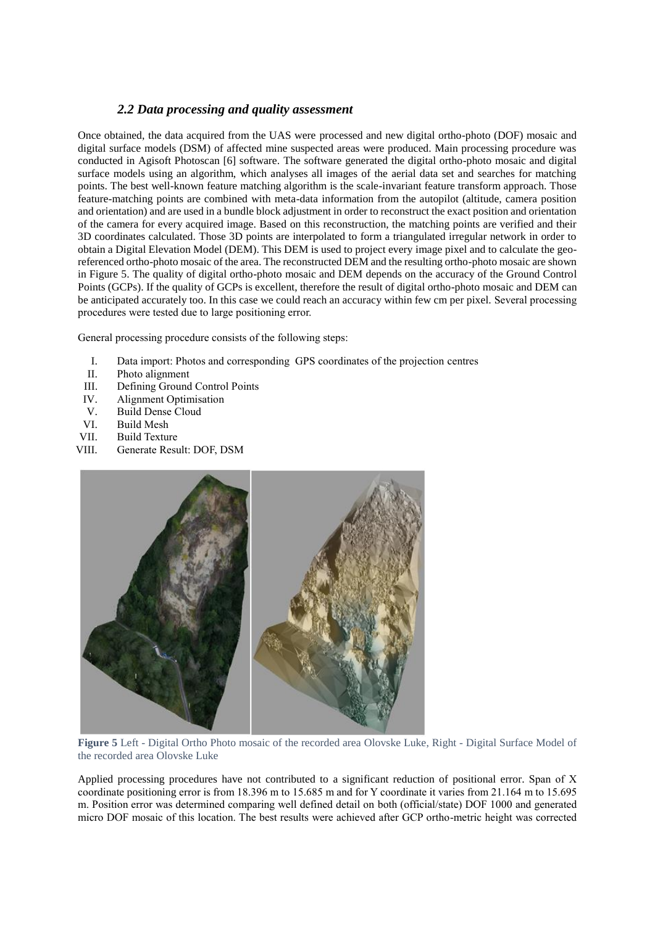### *2.2 Data processing and quality assessment*

Once obtained, the data acquired from the UAS were processed and new digital ortho-photo (DOF) mosaic and digital surface models (DSM) of affected mine suspected areas were produced. Main processing procedure was conducted in Agisoft Photoscan [6] software. The software generated the digital ortho-photo mosaic and digital surface models using an algorithm, which analyses all images of the aerial data set and searches for matching points. The best well-known feature matching algorithm is the scale-invariant feature transform approach. Those feature-matching points are combined with meta-data information from the autopilot (altitude, camera position and orientation) and are used in a bundle block adjustment in order to reconstruct the exact position and orientation of the camera for every acquired image. Based on this reconstruction, the matching points are verified and their 3D coordinates calculated. Those 3D points are interpolated to form a triangulated irregular network in order to obtain a Digital Elevation Model (DEM). This DEM is used to project every image pixel and to calculate the georeferenced ortho-photo mosaic of the area. The reconstructed DEM and the resulting ortho-photo mosaic are shown in Figure 5. The quality of digital ortho-photo mosaic and DEM depends on the accuracy of the Ground Control Points (GCPs). If the quality of GCPs is excellent, therefore the result of digital ortho-photo mosaic and DEM can be anticipated accurately too. In this case we could reach an accuracy within few cm per pixel. Several processing procedures were tested due to large positioning error.

General processing procedure consists of the following steps:

- I. Data import: Photos and corresponding GPS coordinates of the projection centres
- II. Photo alignment
- III. Defining Ground Control Points
- IV. Alignment Optimisation
- V. Build Dense Cloud
- VI. Build Mesh
- VII. Build Texture
- VIII. Generate Result: DOF, DSM



**Figure 5** Left - Digital Ortho Photo mosaic of the recorded area Olovske Luke, Right - Digital Surface Model of the recorded area Olovske Luke

Applied processing procedures have not contributed to a significant reduction of positional error. Span of X coordinate positioning error is from 18.396 m to 15.685 m and for Y coordinate it varies from 21.164 m to 15.695 m. Position error was determined comparing well defined detail on both (official/state) DOF 1000 and generated micro DOF mosaic of this location. The best results were achieved after GCP ortho-metric height was corrected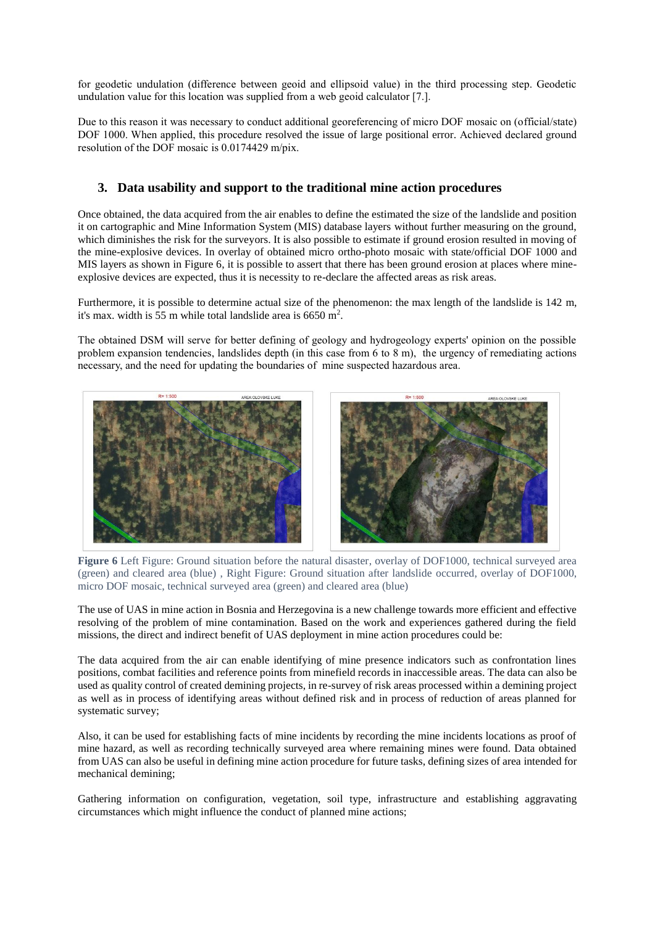for geodetic undulation (difference between geoid and ellipsoid value) in the third processing step. Geodetic undulation value for this location was supplied from a web geoid calculator [7.].

Due to this reason it was necessary to conduct additional georeferencing of micro DOF mosaic on (official/state) DOF 1000. When applied, this procedure resolved the issue of large positional error. Achieved declared ground resolution of the DOF mosaic is 0.0174429 m/pix.

### **3. Data usability and support to the traditional mine action procedures**

Once obtained, the data acquired from the air enables to define the estimated the size of the landslide and position it on cartographic and Mine Information System (MIS) database layers without further measuring on the ground, which diminishes the risk for the surveyors. It is also possible to estimate if ground erosion resulted in moving of the mine-explosive devices. In overlay of obtained micro ortho-photo mosaic with state/official DOF 1000 and MIS layers as shown in Figure 6, it is possible to assert that there has been ground erosion at places where mineexplosive devices are expected, thus it is necessity to re-declare the affected areas as risk areas.

Furthermore, it is possible to determine actual size of the phenomenon: the max length of the landslide is 142 m, it's max. width is 55 m while total landslide area is  $6650 \text{ m}^2$ .

The obtained DSM will serve for better defining of geology and hydrogeology experts' opinion on the possible problem expansion tendencies, landslides depth (in this case from 6 to 8 m), the urgency of remediating actions necessary, and the need for updating the boundaries of mine suspected hazardous area.



**Figure 6** Left Figure: Ground situation before the natural disaster, overlay of DOF1000, technical surveyed area (green) and cleared area (blue) , Right Figure: Ground situation after landslide occurred, overlay of DOF1000, micro DOF mosaic, technical surveyed area (green) and cleared area (blue)

The use of UAS in mine action in Bosnia and Herzegovina is a new challenge towards more efficient and effective resolving of the problem of mine contamination. Based on the work and experiences gathered during the field missions, the direct and indirect benefit of UAS deployment in mine action procedures could be:

The data acquired from the air can enable identifying of mine presence indicators such as confrontation lines positions, combat facilities and reference points from minefield records in inaccessible areas. The data can also be used as quality control of created demining projects, in re-survey of risk areas processed within a demining project as well as in process of identifying areas without defined risk and in process of reduction of areas planned for systematic survey;

Also, it can be used for establishing facts of mine incidents by recording the mine incidents locations as proof of mine hazard, as well as recording technically surveyed area where remaining mines were found. Data obtained from UAS can also be useful in defining mine action procedure for future tasks, defining sizes of area intended for mechanical demining;

Gathering information on configuration, vegetation, soil type, infrastructure and establishing aggravating circumstances which might influence the conduct of planned mine actions;